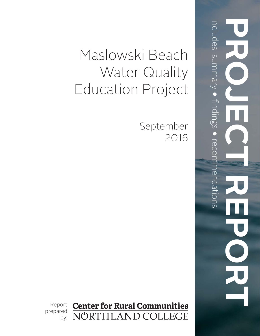# Maslowski Beach Water Quality Education Project

September 2016

**Center for Rural Communities** NÖRTHLAND COLLEGE by:

Report prepared

**PROJECT REPORT**  fi ndings  $\bigodot$  recommendations mendations Į 

Includes: summary

 $\bigodot$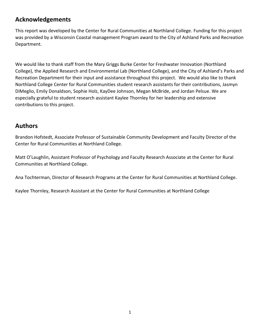# **Acknowledgements**

This report was developed by the Center for Rural Communities at Northland College. Funding for this project was provided by a Wisconsin Coastal management Program award to the City of Ashland Parks and Recreation Department.

We would like to thank staff from the Mary Griggs Burke Center for Freshwater Innovation (Northland College), the Applied Research and Environmental Lab (Northland College), and the City of Ashland's Parks and Recreation Department for their input and assistance throughout this project. We would also like to thank Northland College Center for Rural Communities student research assistants for their contributions, Jasmyn DiMeglio, Emily Donaldson, Sophie Holz, KayDee Johnson, Megan McBride, and Jordan Pelsue. We are especially grateful to student research assistant Kaylee Thornley for her leadership and extensive contributions to this project.

### **Authors**

Brandon Hofstedt, Associate Professor of Sustainable Community Development and Faculty Director of the Center for Rural Communities at Northland College.

Matt O'Laughlin, Assistant Professor of Psychology and Faculty Research Associate at the Center for Rural Communities at Northland College.

Ana Tochterman, Director of Research Programs at the Center for Rural Communities at Northland College.

Kaylee Thornley, Research Assistant at the Center for Rural Communities at Northland College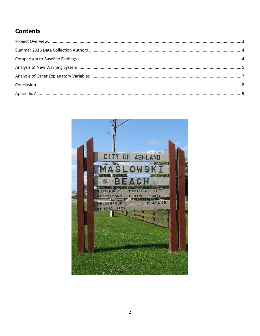# **Contents**

<span id="page-2-0"></span>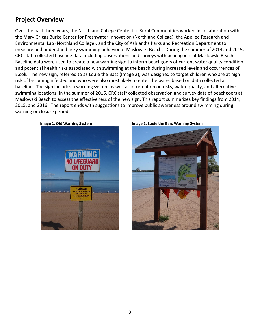# **Project Overview**

Over the past three years, the Northland College Center for Rural Communities worked in collaboration with the Mary Griggs Burke Center for Freshwater Innovation (Northland College), the Applied Research and Environmental Lab (Northland College), and the City of Ashland's Parks and Recreation Department to measure and understand risky swimming behavior at Maslowski Beach. During the summer of 2014 and 2015, CRC staff collected baseline data including observations and surveys with beachgoers at Maslowski Beach. Baseline data were used to create a new warning sign to inform beachgoers of current water quality condition and potential health risks associated with swimming at the beach during increased levels and occurrences of E.coli. The new sign, referred to as Louie the Bass (Image 2), was designed to target children who are at high risk of becoming infected and who were also most likely to enter the water based on data collected at baseline. The sign includes a warning system as well as information on risks, water quality, and alternative swimming locations. In the summer of 2016, CRC staff collected observation and survey data of beachgoers at Maslowski Beach to assess the effectiveness of the new sign. This report summarizes key findings from 2014, 2015, and 2016. The report ends with suggestions to improve public awareness around swimming during warning or closure periods.

<span id="page-3-0"></span>



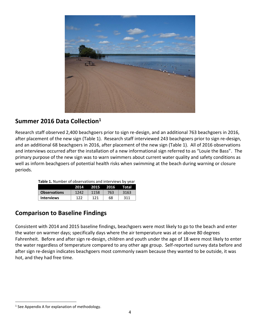

# **Summer 2016 Data Collection<sup>1</sup>**

Research staff observed 2,400 beachgoers prior to sign re-design, and an additional 763 beachgoers in 2016, after placement of the new sign (Table 1). Research staff interviewed 243 beachgoers prior to sign re-design, and an additional 68 beachgoers in 2016, after placement of the new sign (Table 1). All of 2016 observations and interviews occurred after the installation of a new informational sign referred to as "Louie the Bass". The primary purpose of the new sign was to warn swimmers about current water quality and safety conditions as well as inform beachgoers of potential health risks when swimming at the beach during warning or closure periods.

| <b>Table 1.</b> Number of observations and interviews by year |      |                      |     |      |  |
|---------------------------------------------------------------|------|----------------------|-----|------|--|
|                                                               |      | 2014 2015 2016 Total |     |      |  |
| <b>Observations</b>                                           | 1242 | 1158                 | 763 | 3163 |  |
| <b>Interviews</b>                                             | 122  | 121                  | 68  | -311 |  |

# <span id="page-4-0"></span>**Comparison to Baseline Findings**

Consistent with 2014 and 2015 baseline findings, beachgoers were most likely to go to the beach and enter the water on warmer days; specifically days where the air temperature was at or above 80 degrees Fahrenheit. Before and after sign re-design, children and youth under the age of 18 were most likely to enter the water regardless of temperature compared to any other age group. Self-reported survey data before and after sign re-design indicates beachgoers most commonly swam because they wanted to be outside, it was hot, and they had free time.

<span id="page-4-1"></span>l

<sup>&</sup>lt;sup>1</sup> See Appendix A for explanation of methodology.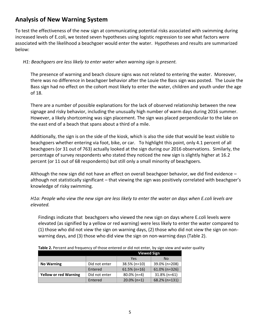# **Analysis of New Warning System**

To test the effectiveness of the new sign at communicating potential risks associated with swimming during increased levels of E.coli, we tested seven hypotheses using logistic regression to see what factors were associated with the likelihood a beachgoer would enter the water. Hypotheses and results are summarized below:

### *H1: Beachgoers are less likely to enter water when warning sign is present.*

The presence of warning and beach closure signs was not related to entering the water. Moreover, there was no difference in beachgoer behavior after the Louie the Bass sign was posted. The Louie the Bass sign had no effect on the cohort most likely to enter the water, children and youth under the age of 18.

There are a number of possible explanations for the lack of observed relationship between the new signage and risky behavior, including the unusually high number of warm days during 2016 summer. However, a likely shortcoming was sign placement. The sign was placed perpendicular to the lake on the east end of a beach that spans about a third of a mile.

Additionally, the sign is on the side of the kiosk, which is also the side that would be least visible to beachgoers whether entering via foot, bike, or car. To highlight this point, only 4.1 percent of all beachgoers (or 31 out of 763) actually looked at the sign during our 2016 observations. Similarly, the percentage of survey respondents who stated they noticed the new sign is slightly higher at 16.2 percent (or 11 out of 68 respondents) but still only a small minority of beachgoers.

Although the new sign did not have an effect on overall beachgoer behavior, we did find evidence – although not statistically significant – that viewing the sign was positively correlated with beachgoer's knowledge of risky swimming.

*H1a: People who view the new sign are less likely to enter the water on days when E.coli levels are elevated.* 

Findings indicate that beachgoers who viewed the new sign on days where E.coli levels were elevated (as signified by a yellow or red warning) were less likely to enter the water compared to (1) those who did not view the sign on warning days, (2) those who did not view the sign on nonwarning days, and (3) those who did view the sign on non-warning days (Table 2).

|                              |               | <b>Viewed Sign</b> |                  |  |
|------------------------------|---------------|--------------------|------------------|--|
|                              |               | Yes                | N <sub>0</sub>   |  |
| <b>No Warning</b>            | Did not enter | $38.5\%$ (n=10)    | 39.0% (n=208)    |  |
|                              | Entered       | $61.5\%$ (n=16)    | $61.0\%$ (n=326) |  |
| <b>Yellow or red Warning</b> | Did not enter | $80.0\%$ (n=4)     | $31.8\%$ (n=61)  |  |
|                              | Entered       | $20.0\%$ (n=1)     | 68.2% (n=131)    |  |

**Table 2.** Percent and frequency of those entered or did not enter, by sign view and water quality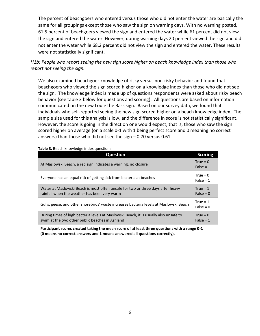The percent of beachgoers who entered versus those who did not enter the water are basically the same for all groupings except those who saw the sign on warning days. With no warning posted, 61.5 percent of beachgoers viewed the sign and entered the water while 61 percent did not view the sign and entered the water. However, during warning days 20 percent viewed the sign and did not enter the water while 68.2 percent did not view the sign and entered the water. These results were not statistically significant.

*H1b: People who report seeing the new sign score higher on beach knowledge index than those who report not seeing the sign.*

We also examined beachgoer knowledge of risky versus non-risky behavior and found that beachgoers who viewed the sign scored higher on a knowledge index than those who did not see the sign. The knowledge index is made up of questions respondents were asked about risky beach behavior (see table 3 below for questions and scoring). All questions are based on information communicated on the new Louie the Bass sign. Based on our survey data, we found that individuals who self-reported seeing the new sign scored higher on a beach knowledge index. The sample size used for this analysis is low, and the difference in score is not statistically significant. However, the score is going in the direction one would expect; that is, those who saw the sign scored higher on average (on a scale 0-1 with 1 being perfect score and 0 meaning no correct answers) than those who did not see the sign – 0.70 versus 0.61.

<span id="page-6-0"></span>

| <b>Table 3.</b> Death MIOWIEUSE INCOX QUESTIONS                                                                                                                             |                           |  |  |
|-----------------------------------------------------------------------------------------------------------------------------------------------------------------------------|---------------------------|--|--|
| <b>Question</b>                                                                                                                                                             | <b>Scoring</b>            |  |  |
| At Maslowski Beach, a red sign indicates a warning, no closure                                                                                                              |                           |  |  |
| Everyone has an equal risk of getting sick from bacteria at beaches                                                                                                         | True = $0$<br>False = $1$ |  |  |
| Water at Maslowski Beach is most often unsafe for two or three days after heavy<br>rainfall when the weather has been very warm                                             | True = $1$<br>False = $0$ |  |  |
| Gulls, geese, and other shorebirds' waste increases bacteria levels at Maslowski Beach                                                                                      | True = $1$<br>False = $0$ |  |  |
| During times of high bacteria levels at Maslowski Beach, it is usually also unsafe to<br>swim at the two other public beaches in Ashland                                    | True = $0$<br>$False = 1$ |  |  |
| Participant scores created taking the mean score of at least three questions with a range 0-1<br>(0 means no correct answers and 1 means answered all questions correctly). |                           |  |  |

**Table 3.** Beach knowledge index questions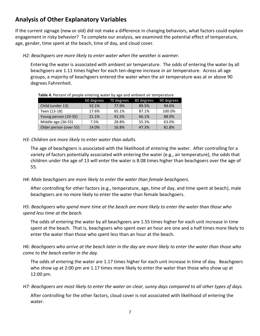# **Analysis of Other Explanatory Variables**

If the current signage (new or old) did not make a difference in changing behaviors, what factors could explain engagement in risky behavior? To complete our analysis, we examined the potential effect of temperature, age, gender, time spent at the beach, time of day, and cloud cover.

*H2: Beachgoers are more likely to enter water when the weather is warmer.* 

Entering the water is associated with ambient air temperature. The odds of entering the water by all beachgoers are 1.11 times higher for each ten-degree increase in air temperature. Across all age groups, a majority of beachgoers entered the water when the air temperature was at or above 90 degrees Fahrenheit.

| <b>TODIC</b> THE CITED IS DESIGNED CHILDING WALKED BY USE AND ANIMICHE ON TEMPERATURE |            |            |            |            |  |
|---------------------------------------------------------------------------------------|------------|------------|------------|------------|--|
|                                                                                       | 60 degrees | 70 degrees | 80 degrees | 90 degrees |  |
| Child (under 13)                                                                      | 52.1%      | 77.9%      | 89.5%      | 94.6%      |  |
| Teen (13-18)                                                                          | 17.6%      | 65.1%      | 87.1%      | 100.0%     |  |
| Young person (19-35)                                                                  | 21.1%      | 41.5%      | 66.1%      | 88.9%      |  |
| Middle age (36-55)                                                                    | 7.5%       | 28.8%      | 55.3%      | 63.0%      |  |
| Older person (over 55)                                                                | 14.0%      | 16.8%      | 47.3%      | 81.8%      |  |

**Table 4.** Percent of people entering water by age and ambient air temperature

### *H3: Children are more likely to enter water than adults.*

The age of beachgoers is associated with the likelihood of entering the water. After controlling for a variety of factors potentially associated with entering the water (e.g., air temperature), the odds that children under the age of 13 will enter the water is 8.08 times higher than beachgoers over the age of 55.

### *H4: Male beachgoers are more likely to enter the water than female beachgoers.*

After controlling for other factors (e.g., temperature, age, time of day, and time spent at beach), male beachgoers are no more likely to enter the water than female beachgoers.

### *H5: Beachgoers who spend more time at the beach are more likely to enter the water than those who spend less time at the beach.*

The odds of entering the water by all beachgoers are 1.55 times higher for each unit increase in time spent at the beach. That is, beachgoers who spent over an hour are one and a half times more likely to enter the water than those who spent less than an hour at the beach.

*H6: Beachgoers who arrive at the beach later in the day are more likely to enter the water than those who come to the beach earlier in the day.*

The odds of entering the water are 1.17 times higher for each unit increase in time of day. Beachgoers who show up at 2:00 pm are 1.17 times more likely to enter the water than those who show up at 12:00 pm.

*H7: Beachgoers are most likely to enter the water on clear, sunny days compared to all other types of days.*

After controlling for the other factors, cloud cover is not associated with likelihood of entering the water.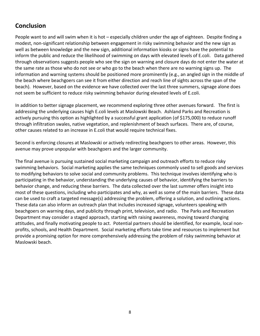# <span id="page-8-0"></span>**Conclusion**

People want to and will swim when it is hot – especially children under the age of eighteen. Despite finding a modest, non-significant relationship between engagement in risky swimming behavior and the new sign as well as between knowledge and the new sign, additional information kiosks or signs have the potential to inform the public and reduce the likelihood of swimming on days with elevated levels of E.coli. Data gathered through observations suggests people who see the sign on warning and closure days do not enter the water at the same rate as those who do not see or who go to the beach when there are no warning signs up. The information and warning systems should be positioned more prominently (e.g., an angled sign in the middle of the beach where beachgoers can see it from either direction and reach line of sights across the span of the beach). However, based on the evidence we have collected over the last three summers, signage alone does not seem be sufficient to reduce risky swimming behavior during elevated levels of E.coli.

In addition to better signage placement, we recommend exploring three other avenues forward. The first is addressing the underlying causes high E.coli levels at Maslowski Beach. Ashland Parks and Recreation is actively pursuing this option as highlighted by a successful grant application (of \$175,000) to reduce runoff through infiltration swales, native vegetation, and replenishment of beach surfaces. There are, of course, other causes related to an increase in E.coli that would require technical fixes.

Second is enforcing closures at Maslowski or actively redirecting beachgoers to other areas. However, this avenue may prove unpopular with beachgoers and the larger community.

The final avenue is pursuing sustained social marketing campaign and outreach efforts to reduce risky swimming behaviors. Social marketing applies the same techniques commonly used to sell goods and services to modifying behaviors to solve social and community problems. This technique involves identifying who is participating in the behavior, understanding the underlying causes of behavior, identifying the barriers to behavior change, and reducing these barriers. The data collected over the last summer offers insight into most of these questions, including who participates and why, as well as some of the main barriers. These data can be used to craft a targeted message(s) addressing the problem, offering a solution, and outlining actions. These data can also inform an outreach plan that includes increased signage, volunteers speaking with beachgoers on warning days, and publicity through print, television, and radio. The Parks and Recreation Department may consider a staged approach, starting with raising awareness, moving toward changing attitudes, and finally motivating people to act. Potential partners should be identified, for example, local nonprofits, schools, and Health Department. Social marketing efforts take time and resources to implement but provide a promising option for more comprehensively addressing the problem of risky swimming behavior at Maslowski beach.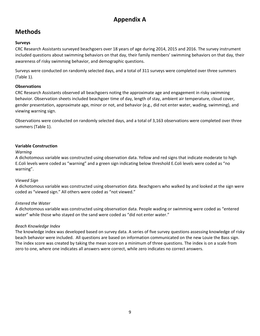# **Appendix A**

# **Methods**

### **Surveys**

CRC Research Assistants surveyed beachgoers over 18 years of age during 2014, 2015 and 2016. The survey instrument included questions about swimming behaviors on that day, their family members' swimming behaviors on that day, their awareness of risky swimming behavior, and demographic questions.

Surveys were conducted on randomly selected days, and a total of 311 surveys were completed over three summers (Table 1).

### **Observations**

CRC Research Assistants observed all beachgoers noting the approximate age and engagement in risky swimming behavior. Observation sheets included beachgoer time of day, length of stay, ambient air temperature, cloud cover, gender presentation, approximate age, minor or not, and behavior (e.g., did not enter water, wading, swimming), and viewing warning sign.

Observations were conducted on randomly selected days, and a total of 3,163 observations were completed over three summers (Table 1).

### **Variable Construction**

### *Warning*

A dichotomous variable was constructed using observation data. Yellow and red signs that indicate moderate to high E.Coli levels were coded as "warning" and a green sign indicating below threshold E.Coli levels were coded as "no warning".

### *Viewed Sign*

A dichotomous variable was constructed using observation data. Beachgoers who walked by and looked at the sign were coded as "viewed sign." All others were coded as "not viewed."

### *Entered the Water*

A dichotomous variable was constructed using observation data. People wading or swimming were coded as "entered water" while those who stayed on the sand were coded as "did not enter water."

### *Beach Knowledge Index*

The knowledge index was developed based on survey data. A series of five survey questions assessing knowledge of risky beach behavior were included. All questions are based on information communicated on the new Louie the Bass sign. The index score was created by taking the mean score on a minimum of three questions. The index is on a scale from zero to one, where one indicates all answers were correct, while zero indicates no correct answers.